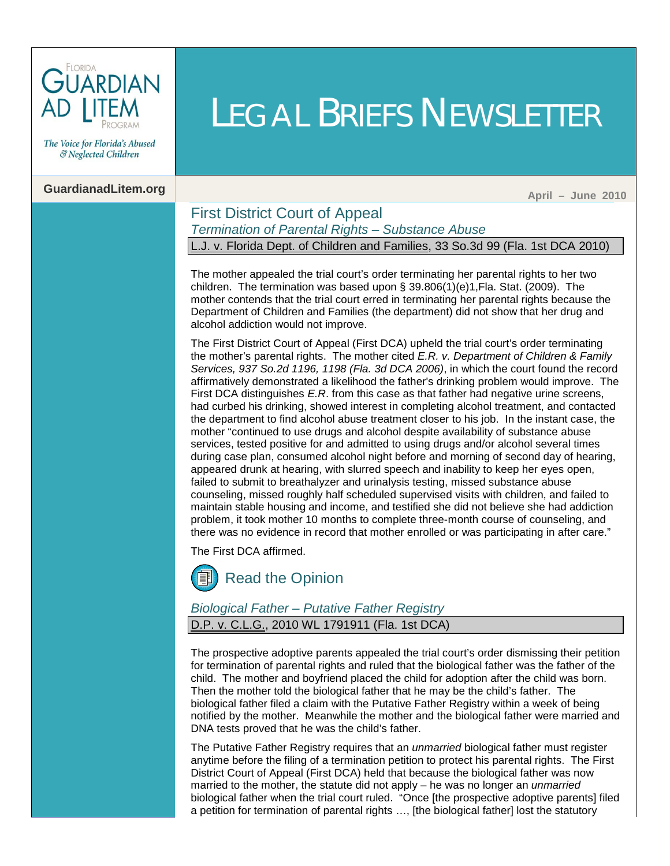

The Voice for Florida's Abused & Neglected Children

## **GuardianadLitem.org** April **1999** April **1999** April 2010

#### First District Court of Appeal *Termination of Parental Rights – Substance Abuse* L.J. v. Florida Dept. of Children and Families, 33 So.3d 99 (Fla. 1st DCA 2010)

LEGAL BRIEFS NEWSLETTER

The mother appealed the trial court's order terminating her parental rights to her two children. The termination was based upon § [39.806\(1\)\(e\)1,Fla. Stat. \(2009\).](http://www.leg.state.fl.us/Statutes/index.cfm?App_mode=Display_Statute&Search_String=&URL=Ch0039/SEC806.HTM&Title=->2009->Ch0039->Section%20806#0039.806) The mother contends that the trial court erred in terminating her parental rights because the Department of Children and Families (the department) did not show that her drug and alcohol addiction would not improve.

The First District Court of Appeal (First DCA) upheld the trial court's order terminating the mother's parental rights. The mother cited *[E.R. v. Department of Children & Family](http://guardianadlitem.org/case_sums/sub_compliance/failcomply_er_dcf.doc)  [Services, 937 So.2d 1196, 1198 \(Fla. 3d DCA 2006\)](http://guardianadlitem.org/case_sums/sub_compliance/failcomply_er_dcf.doc)*, in which the court found the record affirmatively demonstrated a likelihood the father's drinking problem would improve. The First DCA distinguishes *E.R*. from this case as that father had negative urine screens, had curbed his drinking, showed interest in completing alcohol treatment, and contacted the department to find alcohol abuse treatment closer to his job. In the instant case, the mother "continued to use drugs and alcohol despite availability of substance abuse services, tested positive for and admitted to using drugs and/or alcohol several times during case plan, consumed alcohol night before and morning of second day of hearing, appeared drunk at hearing, with slurred speech and inability to keep her eyes open, failed to submit to breathalyzer and urinalysis testing, missed substance abuse counseling, missed roughly half scheduled supervised visits with children, and failed to maintain stable housing and income, and testified she did not believe she had addiction problem, it took mother 10 months to complete three-month course of counseling, and there was no evidence in record that mother enrolled or was participating in after care."

The First DCA affirmed.



#### *Biological Father – Putative Father Registry*

D.P. v. C.L.G., 2010 WL 1791911 (Fla. 1st DCA)

The prospective adoptive parents appealed the trial court's order dismissing their petition for termination of parental rights and ruled that the biological father was the father of the child. The mother and boyfriend placed the child for adoption after the child was born. Then the mother told the biological father that he may be the child's father. The biological father filed a claim with the Putative Father Registry within a week of being notified by the mother. Meanwhile the mother and the biological father were married and DNA tests proved that he was the child's father.

The Putative Father Registry requires that an *unmarried* biological father must register anytime before the filing of a termination petition to protect his parental rights. The First District Court of Appeal (First DCA) held that because the biological father was now married to the mother, the statute did not apply – he was no longer an *unmarried* biological father when the trial court ruled. "Once [the prospective adoptive parents] filed a petition for termination of parental rights …, [the biological father] lost the statutory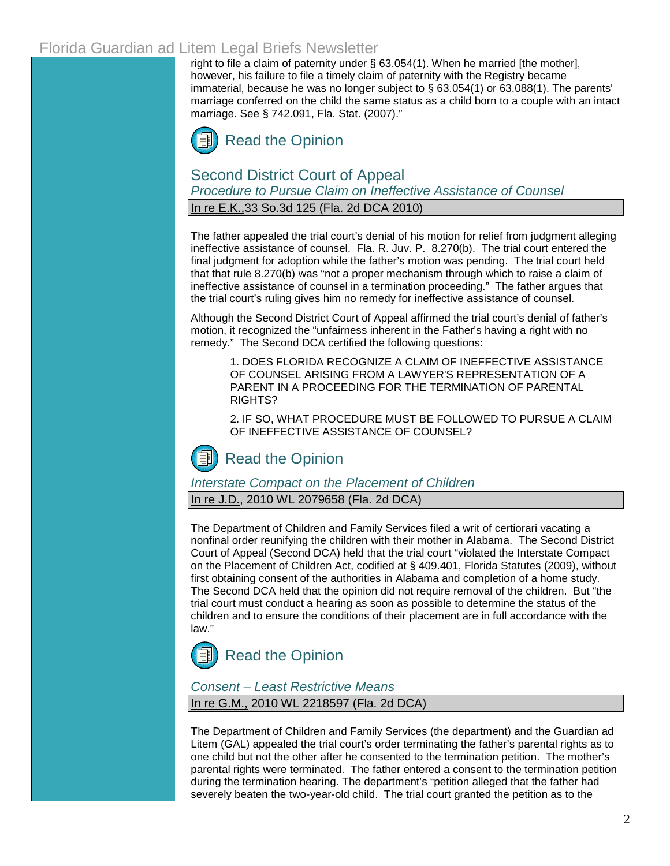## Florida Guardian ad Litem Legal Briefs Newsletter

right to file a claim of paternity unde[r § 63.054\(1\).](http://www.leg.state.fl.us/Statutes/index.cfm?App_mode=Display_Statute&Search_String=&URL=Ch0063/SEC054.HTM&Title=->2009->Ch0063->Section%20054#0063.054) When he married [the mother], however, his failure to file a timely claim of paternity with the Registry became immaterial, because he was no longer subject to  $\S$  63.054(1) or [63.088\(1\).](http://www.leg.state.fl.us/Statutes/index.cfm?App_mode=Display_Statute&Search_String=&URL=Ch0063/SEC088.HTM&Title=->2009->Ch0063->Section%20088#0063.088) The parents' marriage conferred on the child the same status as a child born to a couple with an intact marriage. [See § 742.091, Fla. Stat. \(2007\)."](http://www.leg.state.fl.us/Statutes/index.cfm?App_mode=Display_Statute&Search_String=&URL=Ch0742/SEC091.HTM&Title=->2009->Ch0742->Section%20091#0742.091)



Second District Court of Appeal *Procedure to Pursue Claim on Ineffective Assistance of Counsel*

In re E.K.,33 So.3d 125 (Fla. 2d DCA 2010)

The father appealed the trial court's denial of his motion for relief from judgment alleging ineffective assistance of counsel. [Fla. R. Juv. P. 8.270\(b\).](http://www.floridabar.org/TFB/TFBResources.nsf/Attachments/E2AD7DEF01F6F90685256B29004BFA7E/$FILE/Juvenile.pdf?OpenElement) The trial court entered the final judgment for adoption while the father's motion was pending. The trial court held that th[at rule 8.270\(b\)](http://www.floridabar.org/TFB/TFBResources.nsf/Attachments/E2AD7DEF01F6F90685256B29004BFA7E/$FILE/Juvenile.pdf?OpenElement) was "not a proper mechanism through which to raise a claim of ineffective assistance of counsel in a termination proceeding." The father argues that the trial court's ruling gives him no remedy for ineffective assistance of counsel.

Although the Second District Court of Appeal affirmed the trial court's denial of father's motion, it recognized the "unfairness inherent in the Father's having a right with no remedy." The Second DCA certified the following questions:

1. DOES FLORIDA RECOGNIZE A CLAIM OF INEFFECTIVE ASSISTANCE OF COUNSEL ARISING FROM A LAWYER'S REPRESENTATION OF A PARENT IN A PROCEEDING FOR THE TERMINATION OF PARENTAL RIGHTS?

2. IF SO, WHAT PROCEDURE MUST BE FOLLOWED TO PURSUE A CLAIM OF INEFFECTIVE ASSISTANCE OF COUNSEL?

## [Read the Opinion](http://www.2dca.org/opinions/Opinion_Pages/Opinion_Page_2010/April/April%2028,%202010/2D09-3487rh.pdf)

*Interstate Compact on the Placement of Children* 

In re J.D., 2010 WL 2079658 (Fla. 2d DCA)

The Department of Children and Family Services filed a writ of certiorari vacating a nonfinal order reunifying the children with their mother in Alabama. The Second District Court of Appeal (Second DCA) held that the trial court "violated the Interstate Compact on the Placement of Children Act, codified a[t § 409.401, Florida Statutes \(2009\),](http://www.leg.state.fl.us/Statutes/index.cfm?App_mode=Display_Statute&Search_String=&URL=Ch0409/SEC401.HTM&Title=->2009->Ch0409->Section%20401#0409.401) without first obtaining consent of the authorities in Alabama and completion of a home study. The Second DCA held that the opinion did not require removal of the children. But "the trial court must conduct a hearing as soon as possible to determine the status of the children and to ensure the conditions of their placement are in full accordance with the law."

# [Read the Opinion](http://www.2dca.org/opinions/Opinion_Pages/Opinion_Page_2010/May/May%2026,%202010/2D10-196.pdf)

*Consent – Least Restrictive Means*

In re G.M., 2010 WL 2218597 (Fla. 2d DCA)

The Department of Children and Family Services (the department) and the Guardian ad Litem (GAL) appealed the trial court's order terminating the father's parental rights as to one child but not the other after he consented to the termination petition. The mother's parental rights were terminated. The father entered a consent to the termination petition during the termination hearing. The department's "petition alleged that the father had severely beaten the two-year-old child. The trial court granted the petition as to the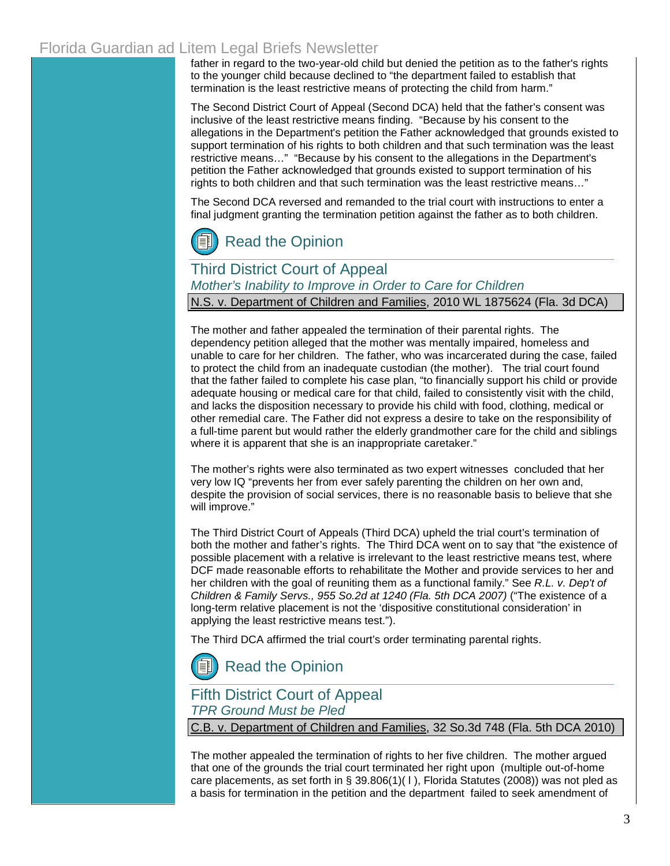## Florida Guardian ad Litem Legal Briefs Newsletter

father in regard to the two-year-old child but denied the petition as to the father's rights to the younger child because declined to "the department failed to establish that termination is the least restrictive means of protecting the child from harm."

The Second District Court of Appeal (Second DCA) held that the father's consent was inclusive of the least restrictive means finding. "Because by his consent to the allegations in the Department's petition the Father acknowledged that grounds existed to support termination of his rights to both children and that such termination was the least restrictive means…" "Because by his consent to the allegations in the Department's petition the Father acknowledged that grounds existed to support termination of his rights to both children and that such termination was the least restrictive means…"

The Second DCA reversed and remanded to the trial court with instructions to enter a final judgment granting the termination petition against the father as to both children.

# [Read the Opinion](http://www.2dca.org/opinions/Opinion_Pages/Opinion_Page_2010/June/June%2004,%202010/2D09-1970.pdf)

### Third District Court of Appeal

*Mother's Inability to Improve in Order to Care for Children*

N.S. v. Department of Children and Families, 2010 WL 1875624 (Fla. 3d DCA)

The mother and father appealed the termination of their parental rights. The dependency petition alleged that the mother was mentally impaired, homeless and unable to care for her children. The father, who was incarcerated during the case, failed to protect the child from an inadequate custodian (the mother). The trial court found that the father failed to complete his case plan, "to financially support his child or provide adequate housing or medical care for that child, failed to consistently visit with the child, and lacks the disposition necessary to provide his child with food, clothing, medical or other remedial care. The Father did not express a desire to take on the responsibility of a full-time parent but would rather the elderly grandmother care for the child and siblings where it is apparent that she is an inappropriate caretaker."

The mother's rights were also terminated as two expert witnesses concluded that her very low IQ "prevents her from ever safely parenting the children on her own and, despite the provision of social services, there is no reasonable basis to believe that she will improve."

The Third District Court of Appeals (Third DCA) upheld the trial court's termination of both the mother and father's rights. The Third DCA went on to say that "the existence of possible placement with a relative is irrelevant to the least restrictive means test, where DCF made reasonable efforts to rehabilitate the Mother and provide services to her and her children with the goal of reuniting them as a functional family." See *R.L. v. Dep't of Children & Family Servs., 955 So.2d at 1240 (Fla. 5th DCA 2007)* ("The existence of a long-term relative placement is not the 'dispositive constitutional consideration' in applying the least restrictive means test.").

The Third DCA affirmed the trial court's order terminating parental rights.

[Read the Opinion](http://www.3dca.flcourts.org/Opinions/3D09-2019.pdf)

## Fifth District Court of Appeal

*TPR Ground Must be Pled*

C.B. v. Department of Children and Families, 32 So.3d 748 (Fla. 5th DCA 2010)

The mother appealed the termination of rights to her five children. The mother argued that one of the grounds the trial court terminated her right upon (multiple out-of-home care placements, as set forth in [§ 39.806\(1\)\( l \), Florida Statutes \(2008\)](http://web2.westlaw.com/find/default.wl?tf=-1&rs=WLW10.06&fn=_top&sv=Split&docname=FLSTS39.806&tc=-1&pbc=84F29426&ordoc=2021824389&findtype=L&db=1000006&vr=2.0&rp=%2ffind%2fdefault.wl&mt=Westlaw)[\)](http://www.leg.state.fl.us/Statutes/index.cfm?App_mode=Display_Statute&Search_String=&URL=Ch0039/SEC806.HTM&Title=->2009->Ch0039->Section%20806#0039.806) was not pled as a basis for termination in the petition and the department failed to seek amendment of